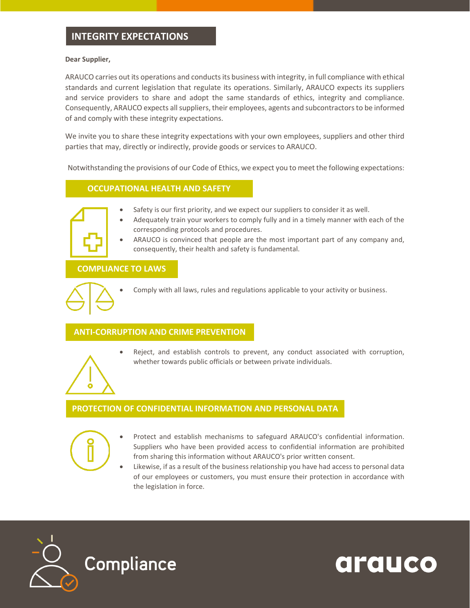# **INTEGRITY EXPECTATIONS**

#### **Dear Supplier,**

ARAUCO carries out its operations and conducts its business with integrity, in full compliance with ethical standards and current legislation that regulate its operations. Similarly, ARAUCO expects its suppliers and service providers to share and adopt the same standards of ethics, integrity and compliance. Consequently, ARAUCO expects all suppliers, their employees, agents and subcontractors to be informed of and comply with these integrity expectations.

We invite you to share these integrity expectations with your own employees, suppliers and other third parties that may, directly or indirectly, provide goods or services to ARAUCO.

Notwithstanding the provisions of our Code of Ethics, we expect you to meet the following expectations:

#### **OCCUPATIONAL HEALTH AND SAFETY**



- Safety is our first priority, and we expect our suppliers to consider it as well.
- Adequately train your workers to comply fully and in a timely manner with each of the corresponding protocols and procedures.
- ARAUCO is convinced that people are the most important part of any company and, consequently, their health and safety is fundamental.

### **COMPLIANCE TO LAWS**



• Comply with all laws, rules and regulations applicable to your activity or business.

## **ANTI-CORRUPTION AND CRIME PREVENTION**



• Reject, and establish controls to prevent, any conduct associated with corruption, whether towards public officials or between private individuals.

#### **PROTECTION OF CONFIDENTIAL INFORMATION AND PERSONAL DATA**



- Protect and establish mechanisms to safeguard ARAUCO's confidential information. Suppliers who have been provided access to confidential information are prohibited from sharing this information without ARAUCO's prior written consent.
- Likewise, if as a result of the business relationship you have had access to personal data of our employees or customers, you must ensure their protection in accordance with the legislation in force.

arauco